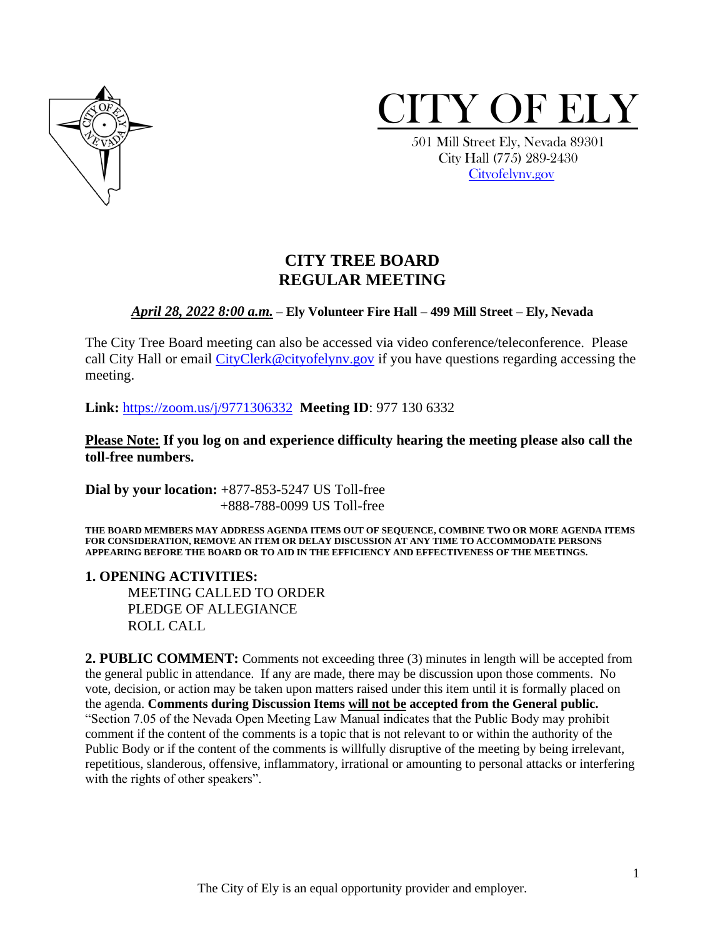



 501 Mill Street Ely, Nevada 89301 City Hall (775) 289-2430 [Cityofelynv.gov](mailto:Cityofelynv.gov) 

# **CITY TREE BOARD REGULAR MEETING**

### *April 28, 2022 8:00 a.m.* **– Ely Volunteer Fire Hall – 499 Mill Street – Ely, Nevada**

The City Tree Board meeting can also be accessed via video conference/teleconference. Please call City Hall or email CityClerk@cityofelyny.gov if you have questions regarding accessing the meeting.

**Link:** [https://zoom.us/j/9771306332](https://zoom.us/j/9771306332?status=success) **Meeting ID**: 977 130 6332

**Please Note: If you log on and experience difficulty hearing the meeting please also call the toll-free numbers.** 

**Dial by your location:** +877-853-5247 US Toll-free +888-788-0099 US Toll-free

**THE BOARD MEMBERS MAY ADDRESS AGENDA ITEMS OUT OF SEQUENCE, COMBINE TWO OR MORE AGENDA ITEMS FOR CONSIDERATION, REMOVE AN ITEM OR DELAY DISCUSSION AT ANY TIME TO ACCOMMODATE PERSONS APPEARING BEFORE THE BOARD OR TO AID IN THE EFFICIENCY AND EFFECTIVENESS OF THE MEETINGS.**

**1. OPENING ACTIVITIES:** 

MEETING CALLED TO ORDER PLEDGE OF ALLEGIANCE ROLL CALL

**2. PUBLIC COMMENT:** Comments not exceeding three (3) minutes in length will be accepted from the general public in attendance. If any are made, there may be discussion upon those comments. No vote, decision, or action may be taken upon matters raised under this item until it is formally placed on the agenda. **Comments during Discussion Items will not be accepted from the General public.**  "Section 7.05 of the Nevada Open Meeting Law Manual indicates that the Public Body may prohibit comment if the content of the comments is a topic that is not relevant to or within the authority of the Public Body or if the content of the comments is willfully disruptive of the meeting by being irrelevant, repetitious, slanderous, offensive, inflammatory, irrational or amounting to personal attacks or interfering with the rights of other speakers".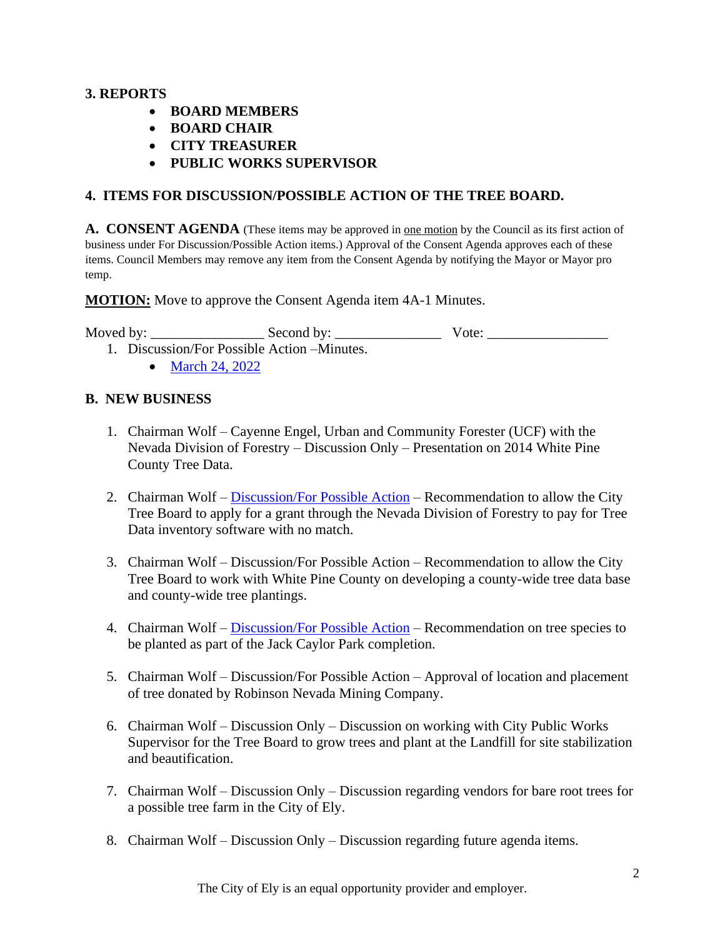# **3. REPORTS**

- **BOARD MEMBERS**
- **BOARD CHAIR**
- **CITY TREASURER**
- **PUBLIC WORKS SUPERVISOR**

# **4. ITEMS FOR DISCUSSION/POSSIBLE ACTION OF THE TREE BOARD.**

**A. CONSENT AGENDA** (These items may be approved in one motion by the Council as its first action of business under For Discussion/Possible Action items.) Approval of the Consent Agenda approves each of these items. Council Members may remove any item from the Consent Agenda by notifying the Mayor or Mayor pro temp.

**MOTION:** Move to approve the Consent Agenda item 4A-1 Minutes.

Moved by: \_\_\_\_\_\_\_\_\_\_\_\_\_\_\_\_ Second by: \_\_\_\_\_\_\_\_\_\_\_\_\_\_\_ Vote: \_\_\_\_\_\_\_\_\_\_\_\_\_\_\_\_\_

- 1. Discussion/For Possible Action –Minutes.
	- [March 24, 2022](https://www.cityofelynv.gov/pdf/TreeBoard/TB4-28-22/TreeBoard03-24-22Minutes.pdf)

### **B. NEW BUSINESS**

- 1. Chairman Wolf Cayenne Engel, Urban and Community Forester (UCF) with the Nevada Division of Forestry – Discussion Only – Presentation on 2014 White Pine County Tree Data.
- 2. Chairman Wolf [Discussion/For Possible Action](https://www.cityofelynv.gov/pdf/TreeBoard/TB4-28-22/TreeMappingSoftwareandgrantap.pdf) Recommendation to allow the City Tree Board to apply for a grant through the Nevada Division of Forestry to pay for Tree Data inventory software with no match.
- 3. Chairman Wolf Discussion/For Possible Action Recommendation to allow the City Tree Board to work with White Pine County on developing a county-wide tree data base and county-wide tree plantings.
- 4. Chairman Wolf [Discussion/For Possible Action](https://www.cityofelynv.gov/pdf/TreeBoard/TB4-28-22/20257_Jack_ConstructionDrawings_FINAL_PlantingPlanOnly.pdf) Recommendation on tree species to be planted as part of the Jack Caylor Park completion.
- 5. Chairman Wolf Discussion/For Possible Action Approval of location and placement of tree donated by Robinson Nevada Mining Company.
- 6. Chairman Wolf Discussion Only Discussion on working with City Public Works Supervisor for the Tree Board to grow trees and plant at the Landfill for site stabilization and beautification.
- 7. Chairman Wolf Discussion Only Discussion regarding vendors for bare root trees for a possible tree farm in the City of Ely.
- 8. Chairman Wolf Discussion Only Discussion regarding future agenda items.